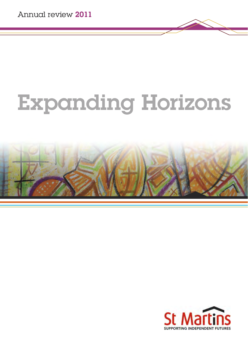# Expanding Horizons



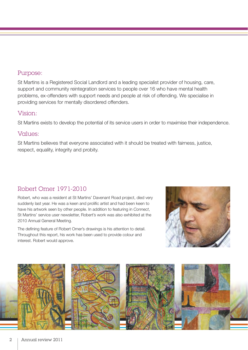#### Purpose:

St Martins is a Registered Social Landlord and a leading specialist provider of housing, care, support and community reintegration services to people over 16 who have mental health problems, ex-offenders with support needs and people at risk of offending. We specialise in providing services for mentally disordered offenders.

#### Vision:

St Martins exists to develop the potential of its service users in order to maximise their independence.

#### Values:

St Martins believes that everyone associated with it should be treated with fairness, justice, respect, equality, integrity and probity.

### Robert Omer 1971-2010

Robert, who was a resident at St Martins' Davenant Road project, died very suddenly last year. He was a keen and prolific artist and had been keen to have his artwork seen by other people. In addition to featuring in *Connect*, St Martins' service user newsletter, Robert's work was also exhibited at the 2010 Annual General Meeting.

The defining feature of Robert Omer's drawings is his attention to detail. Throughout this report, his work has been used to provide colour and interest. Robert would approve.



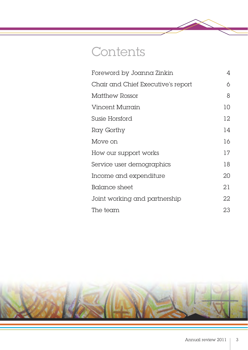## <span id="page-2-0"></span>**Contents**

| Foreword by Joanna Zinkin          | 4  |
|------------------------------------|----|
| Chair and Chief Executive's report | 6  |
| Matthew Rossor                     | 8  |
| <b>Vincent Murrain</b>             | 10 |
| Susie Horsford                     | 12 |
| Ray Gorthy                         | 14 |
| Move on                            | 16 |
| How our support works              | 17 |
| Service user demographics          | 18 |
| Income and expenditure             | 20 |
| Balance sheet                      | 21 |
| Joint working and partnership      | 22 |
| The team                           | 23 |

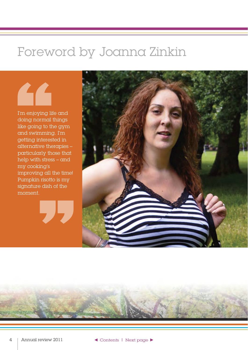### <span id="page-3-0"></span>Foreword by Joanna Zinkin

I'm enjoying life and doing normal things like going to the gym and swimming. I'm getting interested in alternative therapies – particularly those that help with stress – and my cooking's improving all the time! Pumpkin risotto is my signature dish of the moment.

"





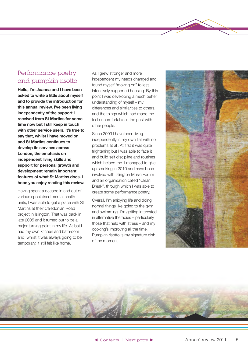#### <span id="page-4-0"></span>Performance poetry and pumpkin risotto

**Hello, I'm Joanna and I have been asked to write a little about myself and to provide the introduction for this annual review. I've been living independently of the support I received from St Martins for some time now but I still keep in touch with other service users. It's true to say that, whilst I have moved on and St Martins continues to develop its services across London, the emphasis on independent living skills and support for personal growth and development remain important features of what St Martins does. I hope you enjoy reading this review.** 

Having spent a decade in and out of various specialised mental health units, I was able to get a place with St Martins at their Caledonian Road project in Islington. That was back in late 2005 and it turned out to be a major turning point in my life. At last I had my own kitchen and bathroom and, whilst it was always going to be temporary, it still felt like home.

As I grew stronger and more independent my needs changed and I found myself "moving on" to less intensively supported housing. By this point I was developing a much better understanding of myself – my differences and similarities to others, and the things which had made me feel uncomfortable in the past with other people.

Since 2009 I have been living independently in my own flat with no problems at all. At first it was quite frightening but I was able to face it and build self discipline and routines which helped me. I managed to give up smoking in 2010 and have been involved with Islington Music Forum and an organisation called "Clean Break", through which I was able to create some performance poetry.

Overall, I'm enjoying life and doing normal things like going to the gym and swimming. I'm getting interested in alternative therapies – particularly those that help with stress – and my cooking's improving all the time! Pumpkin risotto is my signature dish of the moment.



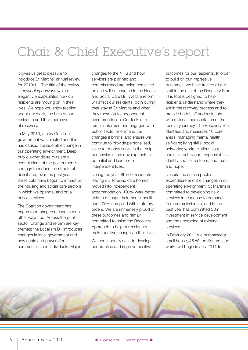# <span id="page-5-0"></span>Chair & Chief Executive's report

It gives us great pleasure to introduce St Martins' annual review for 2010/11. The title of the review is *expanding horizons* which elegantly encapsulates how our residents are moving on in their lives. We hope you enjoy reading about our work, the lives of our residents and their journeys of recovery.

In May 2010, a new Coalition government was elected and this has caused considerable change in our operating environment. Deep public expenditure cuts are a central plank of the government's strategy to reduce the structural deficit and, over the past year, these cuts have begun to impact on the housing and social care sectors in which we operate, and on all public services.

The Coalition government has begun to re-shape our landscape in other ways too. Across the public sector, change and reform are key themes; the Localism Bill introduces changes in local government and new rights and powers for communities and individuals. Major

changes to the NHS and how services are planned and commissioned are being consulted on and will be enacted in the Health and Social Care Bill. Welfare reform will affect our residents, both during their stay at St Martins and when they move on to independent accommodation. Our task is to remain informed and engaged with public sector reform and the changes it brings, and ensure we continue to provide personalised, value for money services that help our service users develop their full potential and lead more independent lives.

During the year, 89% of residents leaving our forensic care homes moved into independent accommodation. 100% were better able to manage their mental health and 100% complied with statutory orders. We are immensely proud of these outcomes and remain committed to using the Recovery Approach to help our residents make positive changes in their lives.

We continuously seek to develop our practice and improve positive outcomes for our residents. In order to build on our impressive outcomes, we have trained all our staff in the use of the Recovery Star. This tool is designed to help residents understand where they are in the recovery process and to provide both staff and residents with a visual representation of the recovery journey. The Recovery Star identifies and measures 10 core areas: managing mental health; self-care; living skills; social networks; work; relationships; addictive behaviour; responsibilities; identity and self-esteem; and trust and hope.

Despite the cuts in public expenditure and the changes in our operating environment, St Martins is committed to developing new services in response to demand from commissioners, and in the past year has committed £3m investment in service development and the upgrading of existing services.

In February 2011 we purchased a small house, 45 Wilton Square, and works will begin in July 2011 to

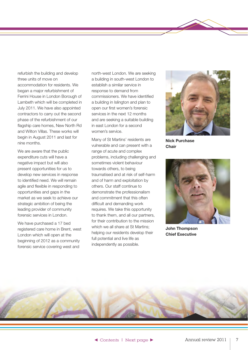<span id="page-6-0"></span>refurbish the building and develop three units of move on accommodation for residents. We began a major refurbishment of Ferrini House in London Borough of Lambeth which will be completed in July 2011. We have also appointed contractors to carry out the second phase of the refurbishment of our flagship care homes, New North Rd and Wilton Villas. These works will begin in August 2011 and last for nine months.

We are aware that the public expenditure cuts will have a negative impact but will also present opportunities for us to develop new services in response to identified need. We will remain agile and flexible in responding to opportunities and gaps in the market as we seek to achieve our strategic ambition of being the leading provider of community forensic services in London.

We have purchased a 17 bed registered care home in Brent, west London which will open at the beginning of 2012 as a community forensic service covering west and

north-west London. We are seeking a building in south-west London to establish a similar service in response to demand from commissioners. We have identified a building in Islington and plan to open our first women's forensic services in the next 12 months and are seeking a suitable building in east London for a second women's service.

Many of St Martins' residents are vulnerable and can present with a range of acute and complex problems, including challenging and sometimes violent behaviour towards others, to being traumatised and at risk of self-harm and of harm and exploitation by others. Our staff continue to demonstrate the professionalism and commitment that this often difficult and demanding work requires. We take this opportunity to thank them, and all our partners, for their contribution to the mission which we all share at St Martins: helping our residents develop their full potential and live life as independently as possible.



**Nick Purchase Chair** 



**John Thompson Chief Executive** 

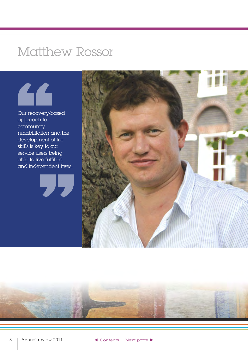### <span id="page-7-0"></span>Matthew Rossor



Our recovery-based approach to community rehabilitation and the development of life skills is key to our service users being able to live fulfilled and independent lives.





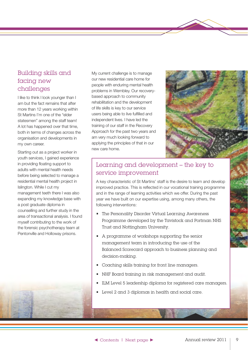#### <span id="page-8-0"></span>Building skills and facing new challenges

I like to think I look younger than I am but the fact remains that after more than 12 years working within St Martins I'm one of the "elder statesmen" among the staff team! A lot has happened over that time, both in terms of changes across the organisation and developments in my own career.

Starting out as a project worker in youth services, I gained experience in providing floating support to adults with mental health needs before being selected to manage a residential mental health project in Islington. While I cut my management teeth there I was also expanding my knowledge base with a post graduate diploma in counselling and further study in the area of transactional analysis. I found myself contributing to the work of the forensic psychotherapy team at Pentonville and Holloway prisons.

My current challenge is to manage our new residential care home for people with enduring mental health problems in Wembley. Our recoverybased approach to community rehabilitation and the development of life skills is key to our service users being able to live fulfilled and independent lives. I have led the training of our staff in the Recovery Approach for the past two years and am very much looking forward to applying the principles of that in our new care home.



### Learning and development – the key to service improvement

A key characteristic of St Martins' staff is the desire to learn and develop improved practice. This is reflected in our vocational training programme and in the range of learning activities which we offer. During the past year we have built on our expertise using, among many others, the following interventions:

- The Personality Disorder Virtual Learning Awareness Programme developed by the Tavistock and Portman NHS Trust and Nottingham University.
- A programme of workshops supporting the senior management team in introducing the use of the Balanced Scorecard approach to business planning and decision-making.
- Coaching skills training for front line managers.
- • NHF Board training in risk management and audit.
- ILM Level 5 leadership diploma for registered care managers.
- • Level 2 and 3 diplomas in health and social care.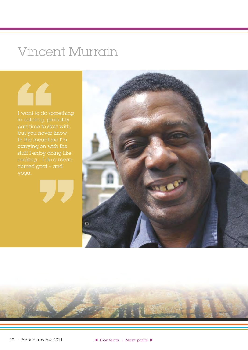## Vincent Murrain

<span id="page-9-0"></span>I want to do something in catering, probably part time to start with but you never know. In the meantime I'm carrying on with the stuff I enjoy doing like cooking – I do a mean Vince<br>
I want to do see<br>
in catering, pr<br>
part time to ste<br>
but you never<br>
In the meantir<br>
carrying on w<br>
stuff I enjoy de<br>
cooking – I do<br>
curried goat – curried goat – and yoga. "

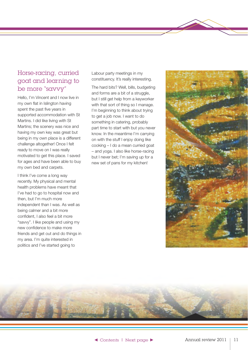#### <span id="page-10-0"></span>Horse-racing, curried goat and learning to be more "savvy"

Hello, I'm Vincent and I now live in my own flat in Islington having spent the past five years in supported accommodation with St Martins. I did like living with St Martins; the scenery was nice and having my own key was great but being in my own place is a different challenge altogether! Once I felt ready to move on I was really motivated to get this place. I saved for ages and have been able to buy my own bed and carpets.

I think I've come a long way recently. My physical and mental health problems have meant that I've had to go to hospital now and then, but I'm much more independent than I was. As well as being calmer and a bit more confident, I also feel a bit more "savvy". I like people and using my new confidence to make more friends and get out and do things in my area. I'm quite interested in politics and I've started going to

Labour party meetings in my constituency. It's really interesting.

The hard bits? Well, bills, budgeting and forms are a bit of a struggle, but I still get help from a keyworker with that sort of thing so I manage. I'm beginning to think about trying to get a job now. I want to do something in catering, probably part time to start with but you never know. In the meantime I'm carrying on with the stuff I enjoy doing like cooking – I do a mean curried goat – and yoga. I also like horse-racing but I never bet; I'm saving up for a new set of pans for my kitchen!



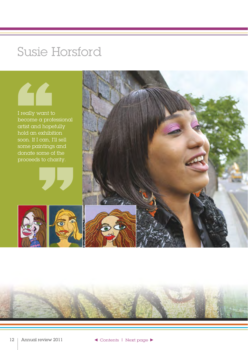### Susie Horsford

<span id="page-11-0"></span>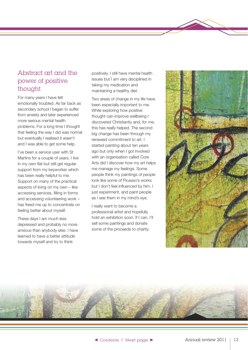#### <span id="page-12-0"></span>Abstract art and the power of positive thought

For many years I have felt emotionally troubled. As far back as secondary school I began to suffer from anxiety and later experienced more serious mental health problems. For a long time I thought that feeling the way I did was normal but eventually I realised it wasn't and I was able to get some help.

I've been a service user with St Martins for a couple of years. I live in my own flat but still get regular support from my keyworker which has been really helpful to me. Support on many of the practical aspects of living on my own – like accessing services, filling in forms and accessing volunteering work – has freed me up to concentrate on feeling better about myself.

These days I am much less depressed and probably no more anxious than anybody else. I have learned to have a better attitude towards myself and try to think

positively. I still have mental health issues but I am very disciplined in taking my medication and maintaining a healthy diet.

Two areas of change in my life have been especially important to me. While exploring how positive thought can improve wellbeing I discovered Christianity and, for me, this has really helped. The second big change has been through my renewed commitment to art. I started painting about ten years ago but only when I got involved with an organisation called Core Arts did I discover how my art helps me manage my feelings. Some people think my paintings of people look like some of Picasso's works but I don't feel influenced by him. I just experiment, and paint people as I see them in my mind's eye.

I really want to become a professional artist and hopefully hold an exhibition soon. If I can, I'll sell some paintings and donate some of the proceeds to charity.



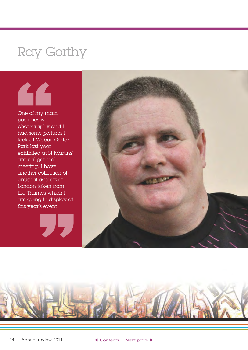### <span id="page-13-0"></span>Ray Gorthy



One of my main pastimes is photography and I had some pictures I took at Woburn Safari Park last year exhibited at St Martins' annual general meeting. I have another collection of unusual aspects of London taken from the Thames which I am going to display at this year's event. aspects of<br>caken from<br>nes which I<br>g to display at<br>'s event.



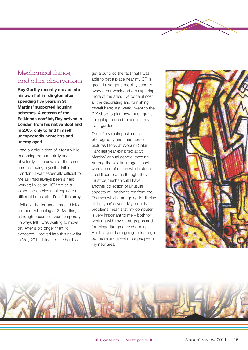#### <span id="page-14-0"></span>Mechanical rhinos, and other observations

**Ray Gorthy recently moved into his own flat in Islington after spending five years in St Martins' supported housing schemes. A veteran of the Falklands conflict, Ray arrived in London from his native Scotland in 2005, only to find himself unexpectedly homeless and unemployed.** 

I had a difficult time of it for a while, becoming both mentally and physically quite unwell at the same time as finding myself adrift in London. It was especially difficult for me as I had always been a hard worker; I was an HGV driver, a joiner and an electrical engineer at different times after I'd left the army.

I felt a lot better once I moved into temporary housing at St Martins, although because it was temporary I always felt I was waiting to move on. After a bit longer than I'd expected, I moved into this new flat in May 2011. I find it quite hard to

get around so the fact that I was able to get a place near my GP is great. I also get a mobility scooter every other week and am exploring more of the area. I've done almost all the decorating and furnishing myself here; last week I went to the DIY shop to plan how much gravel I'm going to need to sort out my front garden.

One of my main pastimes is photography and I had some pictures I took at Woburn Safari Park last year exhibited at St Martins' annual general meeting. Among the wildlife images I shot were some of rhinos which stood so still some of us thought they must be mechanical! I have another collection of unusual aspects of London taken from the Thames which I am going to display at this year's event. My mobility problems mean that my computer is very important to me – both for working with my photographs and for things like grocery shopping. But this year I am going to try to get out more and meet more people in my new area.



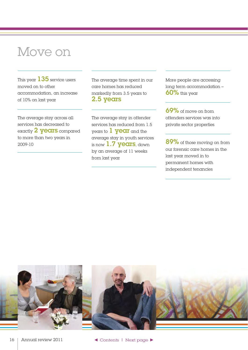### <span id="page-15-0"></span>Move on

This year  $135$  service users moved on to other accommodation, an increase of 10% on last year

The average stay across all services has decreased to exactly 2 **years** compared to more than two years in 2009-10

The average time spent in our care homes has reduced markedly from 3.5 years to 2.5 years

The average stay in offender services has reduced from 1.5 years to **1 year** and the average stay in youth services is now 1.7 years, down by an average of 11 weeks from last year

More people are accessing long term accommodation –  $60\%$  this year

69% of move on from offenders services was into private sector properties

89% of those moving on from our forensic care homes in the last year moved in to permanent homes with independent tenancies

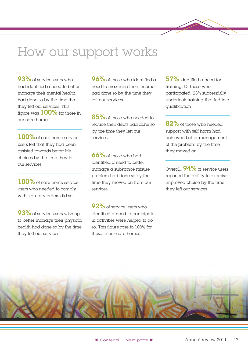### <span id="page-16-0"></span>How our support works

93% of service users who had identified a need to better manage their mental health had done so by the time that they left our services. This figure was  $100\%$  for those in our care homes

100% of care home service users felt that they had been assisted towards better life choices by the time they left our services

100% of care home service users who needed to comply with statutory orders did so

93% of service users wishing to better manage their physical health had done so by the time they left our services

 $96\%$  of those who identified a need to maximise their income had done so by the time they left our services

85% of those who needed to reduce their debts had done so by the time they left our services

66% of those who had identified a need to better manage a substance misuse problem had done so by the time they moved on from our services

92% of service users who identified a need to participate in activities were helped to do so. This figure rose to 100% for those in our care homes

 $57\%$  identified a need for training. Of those who participated, 28% successfully undertook training that led to a qualification

82% of those who needed support with self harm had achieved better management of the problem by the time they moved on

Overall **94%** of service users reported the ability to exercise improved choice by the time they left our services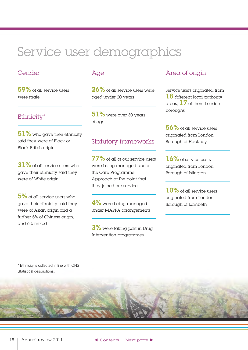## <span id="page-17-0"></span>Service user demographics

#### Gender

59% of all service users were male

#### Ethnicity\*

 $51\%$  who gave their ethnicity said they were of Black or Black British origin

31% of all service users who gave their ethnicity said they were of White origin

5% of all service users who gave their ethnicity said they were of Asian origin and a further 5% of Chinese origin, and 6% mixed

#### Age

26% of all service users were aged under 20 years

 $51\%$  were over 30 years of age

#### Statutory frameworks

77% of all of our service users were being managed under the Care Programme Approach at the point that they joined our services

 $4\%$  were being managed. under MAPPA arrangements

3% were taking part in Drug Intervention programmes

#### Area of origin

Service users originated from 18 different local authority areas,  $17$  of them London boroughs

56% of all service users originated from London Borough of Hackney

16% of service users originated from London Borough of Islington

10% of all service users originated from London Borough of Lambeth

\* Ethnicity is collected in line with ONS Statistical descriptions.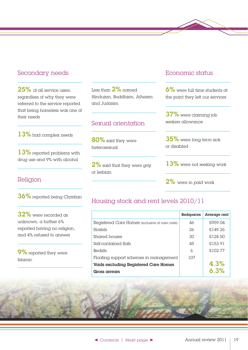#### <span id="page-18-0"></span>Secondary needs

25% of all service users. regardless of why they were referred to the service reported that being homeless was one of their needs

13% had complex needs

13% reported problems with drug use and 9% with alcohol

#### Religion

36% reported being Christian

32% were recorded as unknown, a further 6% reported having no religion, and 4% refused to answer

9% reported they were Islamic

Less than  $2\%$  named Hinduism, Buddhism, Atheism and Judaism

#### Sexual orientation

80% said they were heterosexual

2% said that they were gay or lesbian

#### Economic status

6% were full time students at the point they left our services

37% were claiming job seekers allowance

35% were long term sick or disabled

13% were not seeking work

2% were in paid work

#### Housing stock and rent levels 2010/11

|                                                 | <b>Bedspaces</b> | Average rent |
|-------------------------------------------------|------------------|--------------|
| Registered Care Homes (inclusive of care costs) | 46               | £959.04      |
| Hostels                                         | 26               | \$149.26     |
| Shared houses                                   | 30               | £128.50      |
| Self-contained flats                            | 45               | £153.91      |
| <b>Bedsits</b>                                  | 6                | £102.77      |
| Floating support schemes in management          | 107              |              |
| Voids excluding Registered Care Homes           |                  | 4.3%         |
| Gross arrears                                   |                  | 6.3%         |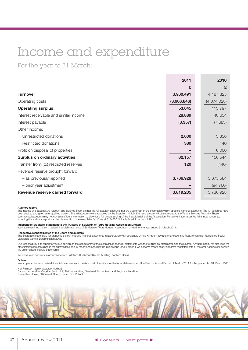## <span id="page-19-0"></span>Income and expenditure

For the year to 31 March:

|                                        | 2011        | 2010        |
|----------------------------------------|-------------|-------------|
|                                        | £           | £           |
| <b>Turnover</b>                        | 3,960,491   | 4,187,825   |
| Operating costs                        | (3,906,846) | (4,074,028) |
| <b>Operating surplus</b>               | 53,645      | 113,797     |
| Interest receivable and similar income | 28,889      | 40,654      |
| Interest payable                       | (3, 357)    | (7,683)     |
| Other income:                          |             |             |
| Unrestricted donations                 | 2,600       | 3,336       |
| Restricted donations                   | 380         | 440         |
| Profit on disposal of properties       |             | 6,000       |
| <b>Surplus on ordinary activities</b>  | 82,157      | 156,544     |
| Transfer from/(to) restricted reserves | 120         | (440)       |
| Revenue reserve brought forward        |             |             |
| - as previously reported               | 3,736,928   | 3,675,584   |
| - prior year adjustment                |             | (94, 760)   |
| Revenue reserve carried forward        | 3,819,205   | 3,736,928   |

#### **Auditors report**

The Income and Expenditure Account and Balance Sheet are not the full statutory accounts but are a summary of the information which appears in the full accounts. The full accounts have<br>been audited and given an unqualified

**Independent Auditors' statement to the Trustees of St Martin of Tours Housing Association Limited**<br>We have examined the summarised financial statements of St Martin of Tours Housing Association Limited for the year ended

#### **Respective responsibilities of the Board and auditors**

The Board are responsible for preparing the summarised financial statements in accordance with applicable United Kingdom law and the Accounting Requirements for Registered Social<br>The Board are responsible for preparing the Landlords General Determination 2006.

Our responsibility is to report to you our opinion on the consistency of the summarised financial statements with the full financial statements and the Boards' Annual Report. We also read the other information contained in the summarised annual report and consider the implications for our report if we become aware of any apparent misstatements or material inconsistencies with the summarised financial statements.

We conducted our work in accordance with Bulletin 2008/3 issued by the Auditing Practices Board.

#### **Opinion**

In our opinion the summarised financial statements are consistent with the full annual financial statements and the Boards' Annual Report of 14 July 2011 for the year ended 31 March 2011.

Neil Finlayson (Senior Statutory Auditor)<br>For and on behalf of Kingston Smith LLP, Statutory Auditor, Chartered Accountants and Registered Auditors<br>Devonshire House, 60 Goswell Road, London EC1M 7AD

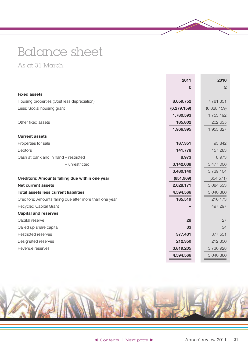# <span id="page-20-0"></span>Balance sheet

As at 31 March:

|                                                         | 2011          | 2010        |
|---------------------------------------------------------|---------------|-------------|
|                                                         | £             | £           |
| <b>Fixed assets</b>                                     |               |             |
| Housing properties (Cost less depreciation)             | 8,059,752     | 7,781,351   |
| Less: Social housing grant                              | (6, 279, 159) | (6,028,159) |
|                                                         | 1,780,593     | 1,753,192   |
| Other fixed assets                                      | 185,802       | 202,635     |
|                                                         | 1,966,395     | 1,955,827   |
| <b>Current assets</b>                                   |               |             |
| Properties for sale                                     | 187,351       | 95,842      |
| Debtors                                                 | 141,778       | 157,283     |
| Cash at bank and in hand - restricted                   | 8,973         | 8,973       |
| - unrestricted                                          | 3,142,038     | 3,477,006   |
|                                                         | 3,480,140     | 3,739,104   |
| <b>Creditors: Amounts falling due within one year</b>   | (851, 969)    | (654, 571)  |
| <b>Net current assets</b>                               | 2,628,171     | 3,084,533   |
| <b>Total assets less current liabilities</b>            | 4,594,566     | 5,040,360   |
| Creditors: Amounts falling due after more than one year | 185,519       | 216,173     |
| Recycled Capital Grant                                  |               | 497,297     |
| <b>Capital and reserves</b>                             |               |             |
| Capital reserve                                         | 28            | 27          |
| Called up share capital                                 | 33            | 34          |
| Restricted reserves                                     | 377,431       | 377,551     |
| Designated reserves                                     | 212,350       | 212,350     |
| Revenue reserves                                        | 3,819,205     | 3,736,928   |
|                                                         | 4,594,566     | 5,040,360   |

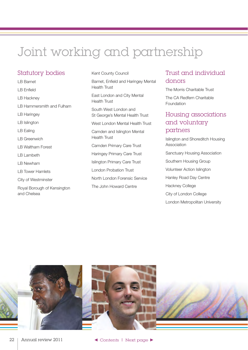# <span id="page-21-0"></span>Joint working and partnership

#### Statutory bodies

LB Barnet LB Enfield LB Hackney LB Hammersmith and Fulham LB Haringey LB Islington LB Ealing LB Greenwich LB Waltham Forest LB Lambeth LB Newham LB Tower Hamlets City of Westminster Royal Borough of Kensington and Chelsea

#### Kent County Council

Barnet, Enfield and Haringey Mental Health Trust East London and City Mental Health Trust South West London and St George's Mental Health Trust West London Mental Health Trust Camden and Islington Mental Health Trust Camden Primary Care Trust Haringey Primary Care Trust Islington Primary Care Trust London Probation Trust North London Forensic Service The John Howard Centre

#### Trust and individual donors

The Morris Charitable Trust The CA Redfern Charitable Foundation

#### Housing associations and voluntary partners

Islington and Shoreditch Housing Association

Sanctuary Housing Association

Southern Housing Group

Volunteer Action Islington

Hanley Road Day Centre

Hackney College

City of London College

London Metropolitan University

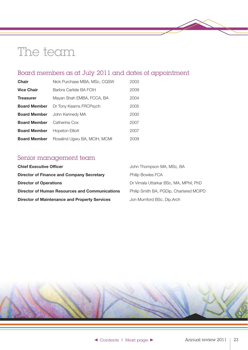### <span id="page-22-0"></span>The team

### Board members as at July 2011 and dates of appointment

| <b>Chair</b>        | Nick Purchase MBA, MSc, CQSW | 2003 |
|---------------------|------------------------------|------|
| <b>Vice Chair</b>   | Barbra Carlisle BA FCIH      | 2009 |
| <b>Treasurer</b>    | Mayan Shah EMBA, FCCA, BA    | 2004 |
| <b>Board Member</b> | Dr Tony Kearns FRCPsych      | 2005 |
| <b>Board Member</b> | John Kennedy MA              | 2000 |
| <b>Board Member</b> | Catherine Cox                | 2007 |
| <b>Board Member</b> | Hopeton Elliott              | 2007 |
| <b>Board Member</b> | Rosalind Ugwu BA, MCIH, MCMI | 2009 |

### Senior management team

| <b>Chief Executive Officer</b>                        | John Thompson MA, MSc, BA               |
|-------------------------------------------------------|-----------------------------------------|
| <b>Director of Finance and Company Secretary</b>      | <b>Philip Bowles FCA</b>                |
| <b>Director of Operations</b>                         | Dr Vimala Uttarkar BSc, MA, MPhil, PhD  |
| <b>Director of Human Resources and Communications</b> | Philip Smith BA, PGDip, Chartered MCIPD |
| <b>Director of Maintenance and Property Services</b>  | Jon Mumford BSc, Dip.Arch               |